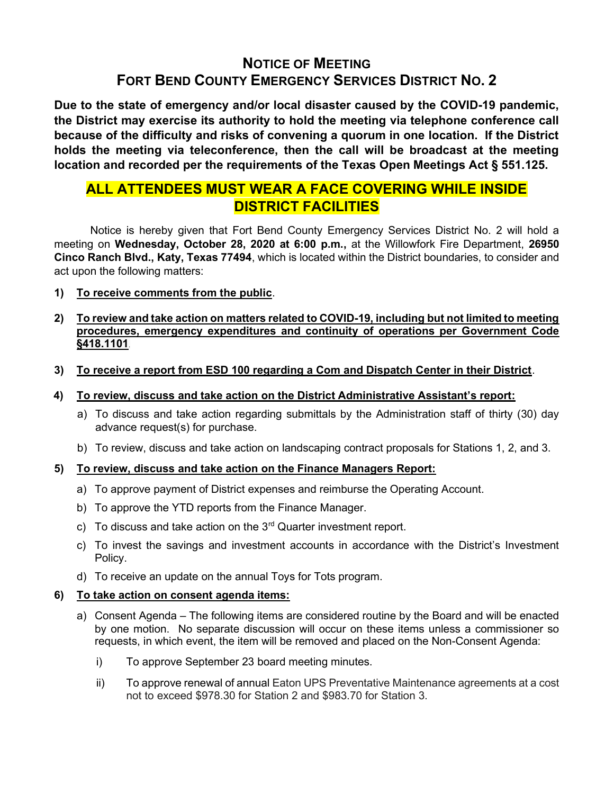# NOTICE OF MEETING FORT BEND COUNTY EMERGENCY SERVICES DISTRICT NO. 2

Due to the state of emergency and/or local disaster caused by the COVID-19 pandemic, the District may exercise its authority to hold the meeting via telephone conference call because of the difficulty and risks of convening a quorum in one location. If the District holds the meeting via teleconference, then the call will be broadcast at the meeting location and recorded per the requirements of the Texas Open Meetings Act § 551.125.

## ALL ATTENDEES MUST WEAR A FACE COVERING WHILE INSIDE DISTRICT FACILITIES

 Notice is hereby given that Fort Bend County Emergency Services District No. 2 will hold a meeting on Wednesday, October 28, 2020 at 6:00 p.m., at the Willowfork Fire Department, 26950 Cinco Ranch Blvd., Katy, Texas 77494, which is located within the District boundaries, to consider and act upon the following matters:

- 1) To receive comments from the public.
- 2) To review and take action on matters related to COVID-19, including but not limited to meeting procedures, emergency expenditures and continuity of operations per Government Code §418.1101.
- 3) To receive a report from ESD 100 regarding a Com and Dispatch Center in their District.
- 4) To review, discuss and take action on the District Administrative Assistant's report:
	- a) To discuss and take action regarding submittals by the Administration staff of thirty (30) day advance request(s) for purchase.
	- b) To review, discuss and take action on landscaping contract proposals for Stations 1, 2, and 3.

### 5) To review, discuss and take action on the Finance Managers Report:

- a) To approve payment of District expenses and reimburse the Operating Account.
- b) To approve the YTD reports from the Finance Manager.
- c) To discuss and take action on the  $3<sup>rd</sup>$  Quarter investment report.
- c) To invest the savings and investment accounts in accordance with the District's Investment Policy.
- d) To receive an update on the annual Toys for Tots program.

### 6) To take action on consent agenda items:

- a) Consent Agenda The following items are considered routine by the Board and will be enacted by one motion. No separate discussion will occur on these items unless a commissioner so requests, in which event, the item will be removed and placed on the Non-Consent Agenda:
	- i) To approve September 23 board meeting minutes.
	- ii) To approve renewal of annual Eaton UPS Preventative Maintenance agreements at a cost not to exceed \$978.30 for Station 2 and \$983.70 for Station 3.